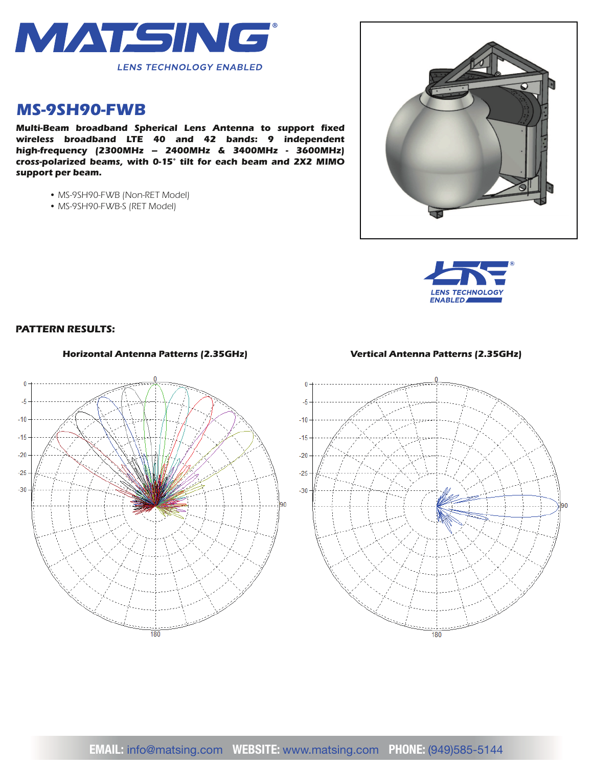

## *MS-9SH90-FWB*

**Multi-Beam broadband Spherical Lens Antenna to support fixed** *wireless broadband LTE 40 and 42 bands: 9 independent high-frequency (2300MHz – 2400MHz & 3400MHz - 3600MHz) cross-polarized beams, with 0-15° tilt for each beam and 2X2 MIMO support per beam.*

- *MS-9SH90-FWB (Non-RET Model)*
- *MS-9SH90-FWB-S (RET Model)*





## *PATTERN RESULTS:*



## *Horizontal Antenna Patterns (2.35GHz) Vertical Antenna Patterns (2.35GHz)*